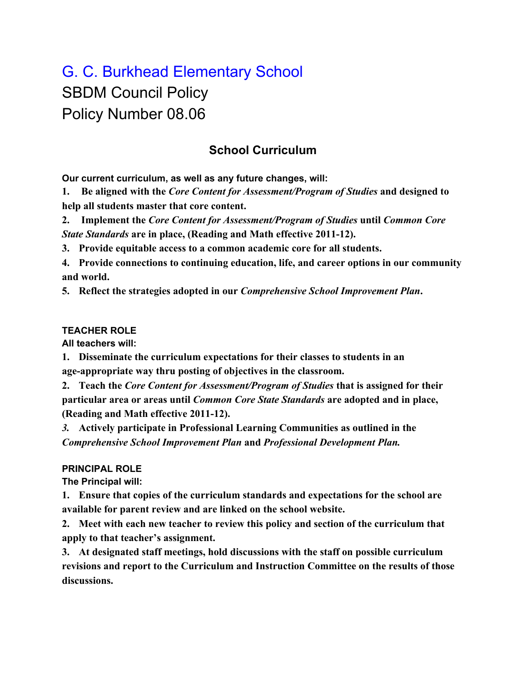# G. C. Burkhead Elementary School SBDM Council Policy Policy Number 08.06

## **School Curriculum**

**Our current curriculum, as well as any future changes, will:**

**1. Be aligned with the** *Core Content for Assessment/Program of Studies* **and designed to help all students master that core content.**

**2. Implement the** *Core Content for Assessment/Program of Studies* **until** *Common Core State Standards* **are in place, (Reading and Math effective 2011-12).**

**3. Provide equitable access to a common academic core for all students.**

**4. Provide connections to continuing education, life, and career options in our community and world.**

**5. Reflect the strategies adopted in our** *Comprehensive School Improvement Plan***.**

#### **TEACHER ROLE**

**All teachers will:**

**1. Disseminate the curriculum expectations for their classes to students in an age-appropriate way thru posting of objectives in the classroom.**

**2. Teach the** *Core Content for Assessment/Program of Studies* **that is assigned for their particular area or areas until** *Common Core State Standards* **are adopted and in place, (Reading and Math effective 2011-12).**

*3.* **Actively participate in Professional Learning Communities as outlined in the** *Comprehensive School Improvement Plan* **and** *Professional Development Plan.*

### **PRINCIPAL ROLE**

**The Principal will:**

**1. Ensure that copies of the curriculum standards and expectations for the school are available for parent review and are linked on the school website.**

**2. Meet with each new teacher to review this policy and section of the curriculum that apply to that teacher's assignment.**

**3. At designated staff meetings, hold discussions with the staff on possible curriculum revisions and report to the Curriculum and Instruction Committee on the results of those discussions.**